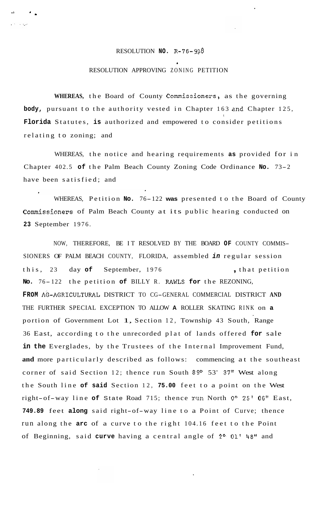## RESOLUTION **NO.**  $R-76-918$

*I* 

**.I** *<sup>I</sup>***<sup>a</sup>**

## RESOLUTION APPROVING ZONING PETITION

**WHEREAS,** the Board of County Commissioners, as the governing **body,** pursuant to the authority vested in Chapter 163 2nd Chapter 125, **Florida** Statutes, **is** authorized and empowered to consider petitions I relating to zoning; and

WHEREAS, the notice and hearing requirements **as** provided for in Chapter 402.5 **of** the Palm Beach County Zoning Code Ordinance **No.** 73-2 have been satisfied; and

WHEREAS, Petition **No.** 76-122 **was** presented to the Board of County Commissioners of Palm Beach County at its public hearing conducted on **23** September 1976.

NOW, THEREFORE, BE IT RESOLVED BY THE BOARD **OF** COUNTY COMMIS-SIONERS OF PALM BEACH COUNTY, FLORIDA, assembled *in* regular session this, 23 day of September, 1976 , that petition No. 76-122 the petition of BILLY R. RAWLS for the REZONING, **FROM** AG-AGRICULTURAL DISTRICT TO CG-GENERAL COMMERCIAL DISTRICT **AND**  THE FURTHER SPECIAL EXCEPTION TO ALLOW **A** ROLLER SKATING RINK on **a**  portion of Government Lot 1, Section 12, Township 43 South, Range 36 East, according to the unrecorded plat of lands offered **for** sale in the Everglades, by the Trustees of the Internal Improvement Fund, **and** more particularly described as follows: commencing at the southeast corner of said Section 12; thence run South 89° 53' 37" West along the South line **of said** Section 12, **75.00** feet to a point on the West right-of-way line **of** State Road 715; thence run North **Oo** 25' 06" East, **749.89** feet **along** said right-of-way line to a Point of Curve; thence run along the **arc** of a curve to the right 104.16 feet to the Point of Beginning, said curve having a central angle of  $2^{\circ}$  01<sup>t</sup> 48" and